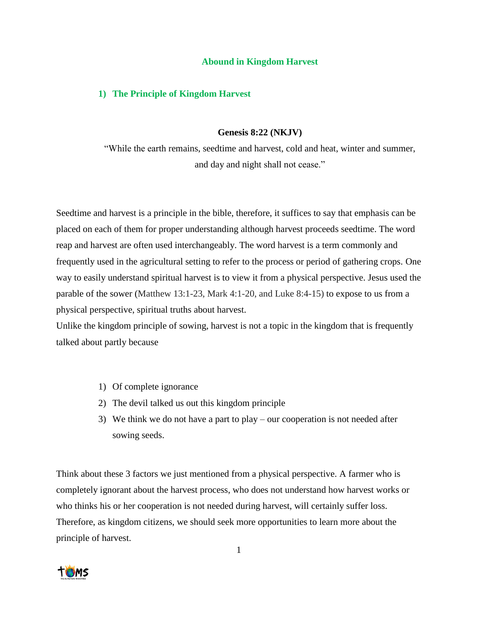## **Abound in Kingdom Harvest**

## **1) The Principle of Kingdom Harvest**

## **Genesis 8:22 (NKJV)**

"While the earth remains, seedtime and harvest, cold and heat, winter and summer, and day and night shall not cease."

Seedtime and harvest is a principle in the bible, therefore, it suffices to say that emphasis can be placed on each of them for proper understanding although harvest proceeds seedtime. The word reap and harvest are often used interchangeably. The word harvest is a term commonly and frequently used in the agricultural setting to refer to the process or period of gathering crops. One way to easily understand spiritual harvest is to view it from a physical perspective. Jesus used the parable of the sower (Matthew 13:1-23, Mark 4:1-20, and Luke 8:4-15) to expose to us from a physical perspective, spiritual truths about harvest.

Unlike the kingdom principle of sowing, harvest is not a topic in the kingdom that is frequently talked about partly because

- 1) Of complete ignorance
- 2) The devil talked us out this kingdom principle
- 3) We think we do not have a part to play our cooperation is not needed after sowing seeds.

Think about these 3 factors we just mentioned from a physical perspective. A farmer who is completely ignorant about the harvest process, who does not understand how harvest works or who thinks his or her cooperation is not needed during harvest, will certainly suffer loss. Therefore, as kingdom citizens, we should seek more opportunities to learn more about the principle of harvest.

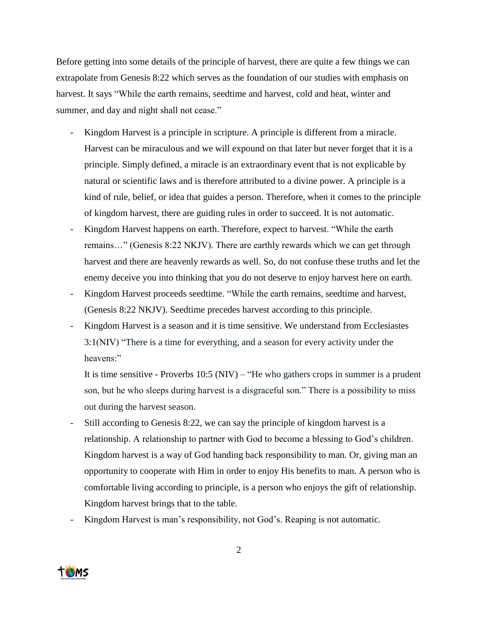Before getting into some details of the principle of harvest, there are quite a few things we can extrapolate from Genesis 8:22 which serves as the foundation of our studies with emphasis on harvest. It says "While the earth remains, seedtime and harvest, cold and heat, winter and summer, and day and night shall not cease."

- Kingdom Harvest is a principle in scripture. A principle is different from a miracle. Harvest can be miraculous and we will expound on that later but never forget that it is a principle. Simply defined, a miracle is an extraordinary event that is not explicable by natural or scientific laws and is therefore attributed to a divine power. A principle is a kind of rule, belief, or idea that guides a person. Therefore, when it comes to the principle of kingdom harvest, there are guiding rules in order to succeed. It is not automatic.
- Kingdom Harvest happens on earth. Therefore, expect to harvest. "While the earth" remains…" (Genesis 8:22 NKJV). There are earthly rewards which we can get through harvest and there are heavenly rewards as well. So, do not confuse these truths and let the enemy deceive you into thinking that you do not deserve to enjoy harvest here on earth.
- Kingdom Harvest proceeds seedtime. "While the earth remains, seedtime and harvest, (Genesis 8:22 NKJV). Seedtime precedes harvest according to this principle.
- Kingdom Harvest is a season and it is time sensitive. We understand from Ecclesiastes 3:1(NIV) "There is a time for everything, and a season for every activity under the heavens:"

It is time sensitive - Proverbs  $10:5$  (NIV) – "He who gathers crops in summer is a prudent son, but he who sleeps during harvest is a disgraceful son." There is a possibility to miss out during the harvest season.

- Still according to Genesis 8:22, we can say the principle of kingdom harvest is a relationship. A relationship to partner with God to become a blessing to God's children. Kingdom harvest is a way of God handing back responsibility to man. Or, giving man an opportunity to cooperate with Him in order to enjoy His benefits to man. A person who is comfortable living according to principle, is a person who enjoys the gift of relationship. Kingdom harvest brings that to the table.
- Kingdom Harvest is man's responsibility, not God's. Reaping is not automatic.

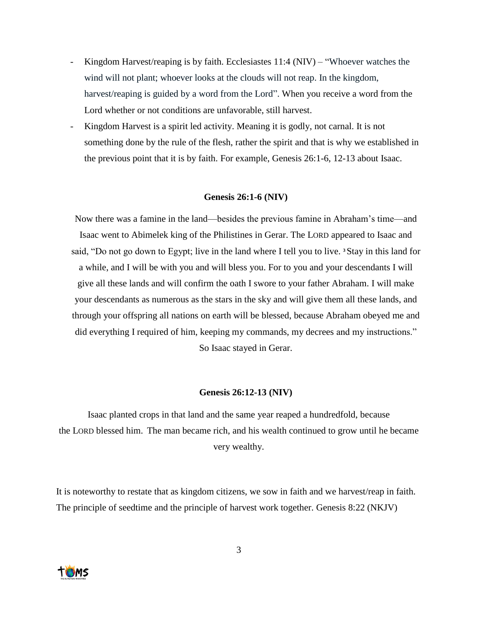- Kingdom Harvest/reaping is by faith. Ecclesiastes 11:4 (NIV) "Whoever watches the wind will not plant; whoever looks at the clouds will not reap. In the kingdom, harvest/reaping is guided by a word from the Lord". When you receive a word from the Lord whether or not conditions are unfavorable, still harvest.
- Kingdom Harvest is a spirit led activity. Meaning it is godly, not carnal. It is not something done by the rule of the flesh, rather the spirit and that is why we established in the previous point that it is by faith. For example, Genesis 26:1-6, 12-13 about Isaac.

### **Genesis 26:1-6 (NIV)**

Now there was a famine in the land—besides the previous famine in Abraham's time—and Isaac went to Abimelek king of the Philistines in Gerar. The LORD appeared to Isaac and said, "Do not go down to Egypt; live in the land where I tell you to live. **<sup>3</sup>**Stay in this land for a while, and I will be with you and will bless you. For to you and your descendants I will give all these lands and will confirm the oath I swore to your father Abraham. I will make your descendants as numerous as the stars in the sky and will give them all these lands, and through your offspring all nations on earth will be blessed, because Abraham obeyed me and did everything I required of him, keeping my commands, my decrees and my instructions." So Isaac stayed in Gerar.

#### **Genesis 26:12-13 (NIV)**

Isaac planted crops in that land and the same year reaped a hundredfold, because the LORD blessed him. The man became rich, and his wealth continued to grow until he became very wealthy.

It is noteworthy to restate that as kingdom citizens, we sow in faith and we harvest/reap in faith. The principle of seedtime and the principle of harvest work together. Genesis 8:22 (NKJV)

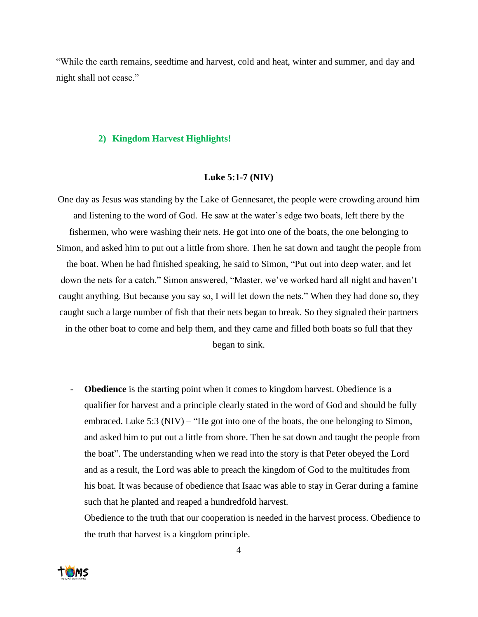"While the earth remains, seedtime and harvest, cold and heat, winter and summer, and day and night shall not cease."

#### **2) Kingdom Harvest Highlights!**

#### **Luke 5:1-7 (NIV)**

- One day as Jesus was standing by the Lake of Gennesaret, the people were crowding around him and listening to the word of God. He saw at the water's edge two boats, left there by the fishermen, who were washing their nets. He got into one of the boats, the one belonging to Simon, and asked him to put out a little from shore. Then he sat down and taught the people from the boat. When he had finished speaking, he said to Simon, "Put out into deep water, and let down the nets for a catch." Simon answered, "Master, we've worked hard all night and haven't caught anything. But because you say so, I will let down the nets." When they had done so, they caught such a large number of fish that their nets began to break. So they signaled their partners in the other boat to come and help them, and they came and filled both boats so full that they began to sink.
	- **Obedience** is the starting point when it comes to kingdom harvest. Obedience is a qualifier for harvest and a principle clearly stated in the word of God and should be fully embraced. Luke 5:3 (NIV) – "He got into one of the boats, the one belonging to Simon, and asked him to put out a little from shore. Then he sat down and taught the people from the boat". The understanding when we read into the story is that Peter obeyed the Lord and as a result, the Lord was able to preach the kingdom of God to the multitudes from his boat. It was because of obedience that Isaac was able to stay in Gerar during a famine such that he planted and reaped a hundredfold harvest.

Obedience to the truth that our cooperation is needed in the harvest process. Obedience to the truth that harvest is a kingdom principle.

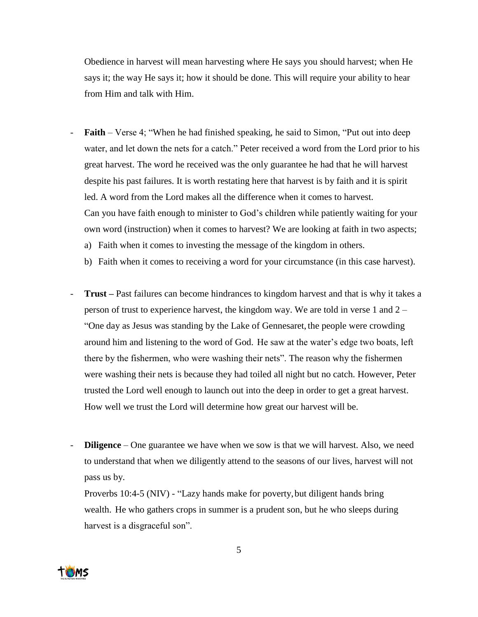Obedience in harvest will mean harvesting where He says you should harvest; when He says it; the way He says it; how it should be done. This will require your ability to hear from Him and talk with Him.

- **Faith** Verse 4; "When he had finished speaking, he said to Simon, "Put out into deep water, and let down the nets for a catch." Peter received a word from the Lord prior to his great harvest. The word he received was the only guarantee he had that he will harvest despite his past failures. It is worth restating here that harvest is by faith and it is spirit led. A word from the Lord makes all the difference when it comes to harvest. Can you have faith enough to minister to God's children while patiently waiting for your own word (instruction) when it comes to harvest? We are looking at faith in two aspects; a) Faith when it comes to investing the message of the kingdom in others.
	- b) Faith when it comes to receiving a word for your circumstance (in this case harvest).
- **Trust –** Past failures can become hindrances to kingdom harvest and that is why it takes a person of trust to experience harvest, the kingdom way. We are told in verse 1 and 2 – "One day as Jesus was standing by the Lake of Gennesaret, the people were crowding around him and listening to the word of God. He saw at the water's edge two boats, left there by the fishermen, who were washing their nets". The reason why the fishermen were washing their nets is because they had toiled all night but no catch. However, Peter trusted the Lord well enough to launch out into the deep in order to get a great harvest. How well we trust the Lord will determine how great our harvest will be.
- **Diligence** One guarantee we have when we sow is that we will harvest. Also, we need to understand that when we diligently attend to the seasons of our lives, harvest will not pass us by.

Proverbs 10:4-5 (NIV) - "Lazy hands make for poverty, but diligent hands bring wealth. He who gathers crops in summer is a prudent son, but he who sleeps during harvest is a disgraceful son".

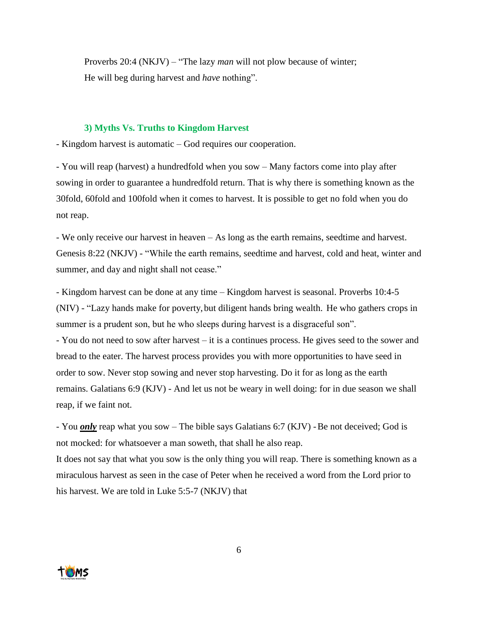Proverbs 20:4 (NKJV) – "The lazy *man* will not plow because of winter; He will beg during harvest and *have* nothing".

#### **3) Myths Vs. Truths to Kingdom Harvest**

- Kingdom harvest is automatic – God requires our cooperation.

- You will reap (harvest) a hundredfold when you sow – Many factors come into play after sowing in order to guarantee a hundredfold return. That is why there is something known as the 30fold, 60fold and 100fold when it comes to harvest. It is possible to get no fold when you do not reap.

- We only receive our harvest in heaven – As long as the earth remains, seedtime and harvest. Genesis 8:22 (NKJV) - "While the earth remains, seedtime and harvest, cold and heat, winter and summer, and day and night shall not cease."

- Kingdom harvest can be done at any time – Kingdom harvest is seasonal. Proverbs 10:4-5 (NIV) - "Lazy hands make for poverty,but diligent hands bring wealth. He who gathers crops in summer is a prudent son, but he who sleeps during harvest is a disgraceful son".

- You do not need to sow after harvest – it is a continues process. He gives seed to the sower and bread to the eater. The harvest process provides you with more opportunities to have seed in order to sow. Never stop sowing and never stop harvesting. Do it for as long as the earth remains. Galatians 6:9 (KJV) - And let us not be weary in well doing: for in due season we shall reap, if we faint not.

- You *only* reap what you sow – The bible says Galatians 6:7 (KJV) - Be not deceived; God is not mocked: for whatsoever a man soweth, that shall he also reap.

It does not say that what you sow is the only thing you will reap. There is something known as a miraculous harvest as seen in the case of Peter when he received a word from the Lord prior to his harvest. We are told in Luke 5:5-7 (NKJV) that

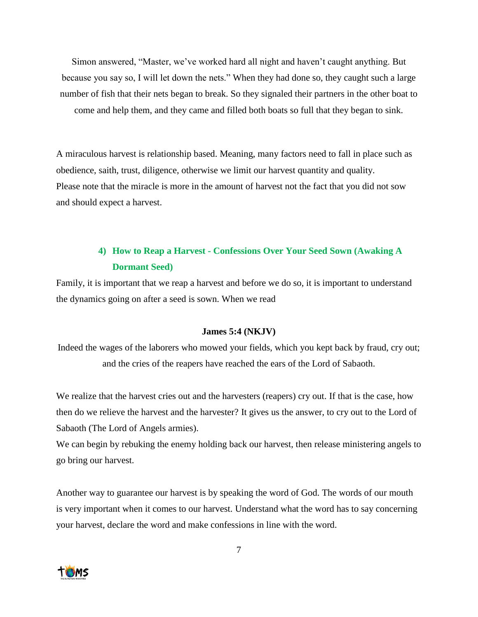Simon answered, "Master, we've worked hard all night and haven't caught anything. But because you say so, I will let down the nets." When they had done so, they caught such a large number of fish that their nets began to break. So they signaled their partners in the other boat to come and help them, and they came and filled both boats so full that they began to sink.

A miraculous harvest is relationship based. Meaning, many factors need to fall in place such as obedience, saith, trust, diligence, otherwise we limit our harvest quantity and quality. Please note that the miracle is more in the amount of harvest not the fact that you did not sow and should expect a harvest.

# **4) How to Reap a Harvest - Confessions Over Your Seed Sown (Awaking A Dormant Seed)**

Family, it is important that we reap a harvest and before we do so, it is important to understand the dynamics going on after a seed is sown. When we read

## **James 5:4 (NKJV)**

Indeed the wages of the laborers who mowed your fields, which you kept back by fraud, cry out; and the cries of the reapers have reached the ears of the Lord of Sabaoth.

We realize that the harvest cries out and the harvesters (reapers) cry out. If that is the case, how then do we relieve the harvest and the harvester? It gives us the answer, to cry out to the Lord of Sabaoth (The Lord of Angels armies).

We can begin by rebuking the enemy holding back our harvest, then release ministering angels to go bring our harvest.

Another way to guarantee our harvest is by speaking the word of God. The words of our mouth is very important when it comes to our harvest. Understand what the word has to say concerning your harvest, declare the word and make confessions in line with the word.

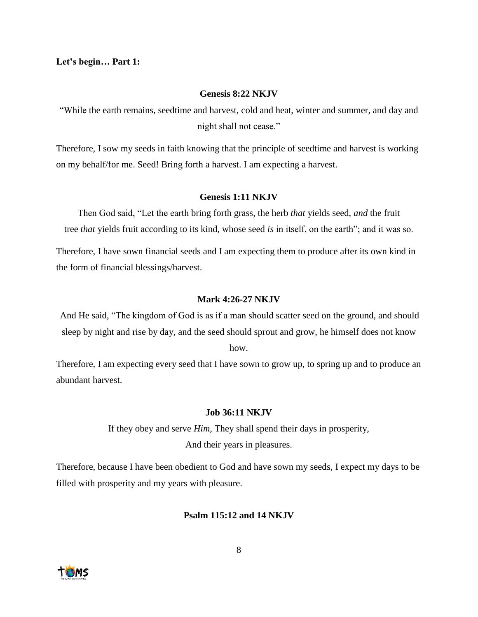**Let's begin… Part 1:**

#### **Genesis 8:22 NKJV**

"While the earth remains, seedtime and harvest, cold and heat, winter and summer, and day and night shall not cease."

Therefore, I sow my seeds in faith knowing that the principle of seedtime and harvest is working on my behalf/for me. Seed! Bring forth a harvest. I am expecting a harvest.

#### **Genesis 1:11 NKJV**

Then God said, "Let the earth bring forth grass, the herb *that* yields seed, *and* the fruit tree *that* yields fruit according to its kind, whose seed *is* in itself, on the earth"; and it was so.

Therefore, I have sown financial seeds and I am expecting them to produce after its own kind in the form of financial blessings/harvest.

#### **Mark 4:26-27 NKJV**

And He said, "The kingdom of God is as if a man should scatter seed on the ground, and should sleep by night and rise by day, and the seed should sprout and grow, he himself does not know

how.

Therefore, I am expecting every seed that I have sown to grow up, to spring up and to produce an abundant harvest.

## **Job 36:11 NKJV**

If they obey and serve *Him,* They shall spend their days in prosperity, And their years in pleasures.

Therefore, because I have been obedient to God and have sown my seeds, I expect my days to be filled with prosperity and my years with pleasure.

## **Psalm 115:12 and 14 NKJV**

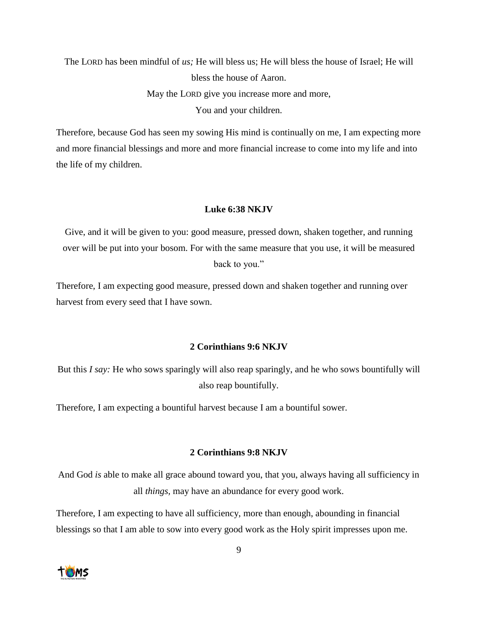The LORD has been mindful of *us;* He will bless us; He will bless the house of Israel; He will bless the house of Aaron. May the LORD give you increase more and more, You and your children.

Therefore, because God has seen my sowing His mind is continually on me, I am expecting more and more financial blessings and more and more financial increase to come into my life and into the life of my children.

#### **Luke 6:38 NKJV**

Give, and it will be given to you: good measure, pressed down, shaken together, and running over will be put into your bosom. For with the same measure that you use, it will be measured back to you."

Therefore, I am expecting good measure, pressed down and shaken together and running over harvest from every seed that I have sown.

## **2 Corinthians 9:6 NKJV**

But this *I say:* He who sows sparingly will also reap sparingly, and he who sows bountifully will also reap bountifully.

Therefore, I am expecting a bountiful harvest because I am a bountiful sower.

#### **2 Corinthians 9:8 NKJV**

And God *is* able to make all grace abound toward you, that you, always having all sufficiency in all *things,* may have an abundance for every good work.

Therefore, I am expecting to have all sufficiency, more than enough, abounding in financial blessings so that I am able to sow into every good work as the Holy spirit impresses upon me.

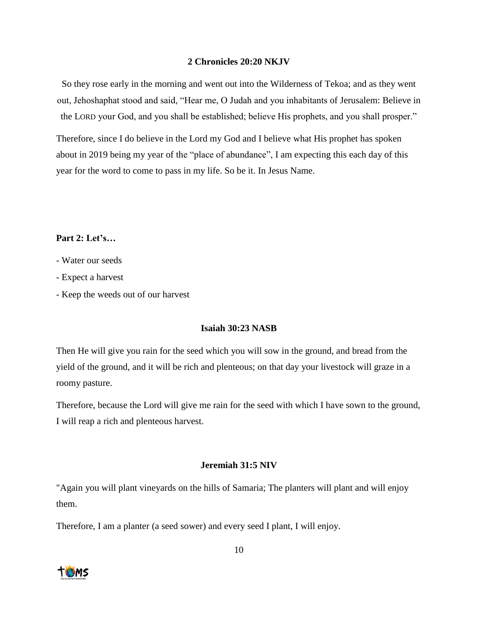## **2 Chronicles 20:20 NKJV**

So they rose early in the morning and went out into the Wilderness of Tekoa; and as they went out, Jehoshaphat stood and said, "Hear me, O Judah and you inhabitants of Jerusalem: Believe in the LORD your God, and you shall be established; believe His prophets, and you shall prosper."

Therefore, since I do believe in the Lord my God and I believe what His prophet has spoken about in 2019 being my year of the "place of abundance", I am expecting this each day of this year for the word to come to pass in my life. So be it. In Jesus Name.

## **Part 2: Let's…**

- Water our seeds
- Expect a harvest
- Keep the weeds out of our harvest

## **Isaiah 30:23 NASB**

Then He will give you rain for the seed which you will sow in the ground, and bread from the yield of the ground, and it will be rich and plenteous; on that day your livestock will graze in a roomy pasture.

Therefore, because the Lord will give me rain for the seed with which I have sown to the ground, I will reap a rich and plenteous harvest.

### **Jeremiah 31:5 NIV**

"Again you will plant vineyards on the hills of Samaria; The planters will plant and will enjoy them.

Therefore, I am a planter (a seed sower) and every seed I plant, I will enjoy.

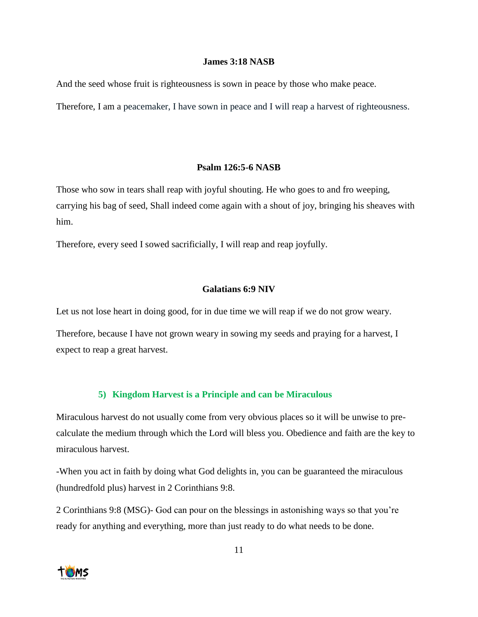#### **James 3:18 NASB**

And the seed whose fruit is righteousness is sown in peace by those who make peace.

Therefore, I am a peacemaker, I have sown in peace and I will reap a harvest of righteousness.

## **Psalm 126:5-6 NASB**

Those who sow in tears shall reap with joyful shouting. He who goes to and fro weeping, carrying his bag of seed, Shall indeed come again with a shout of joy, bringing his sheaves with him.

Therefore, every seed I sowed sacrificially, I will reap and reap joyfully.

## **Galatians 6:9 NIV**

Let us not lose heart in doing good, for in due time we will reap if we do not grow weary.

Therefore, because I have not grown weary in sowing my seeds and praying for a harvest, I expect to reap a great harvest.

## **5) Kingdom Harvest is a Principle and can be Miraculous**

Miraculous harvest do not usually come from very obvious places so it will be unwise to precalculate the medium through which the Lord will bless you. Obedience and faith are the key to miraculous harvest.

-When you act in faith by doing what God delights in, you can be guaranteed the miraculous (hundredfold plus) harvest in 2 Corinthians 9:8.

2 Corinthians 9:8 (MSG)- God can pour on the blessings in astonishing ways so that you're ready for anything and everything, more than just ready to do what needs to be done.

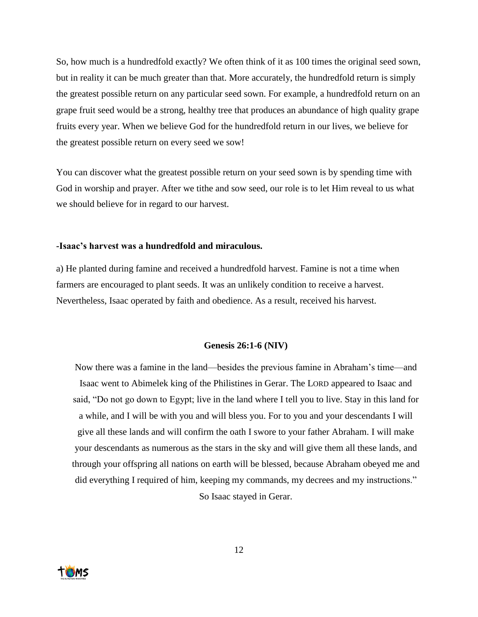So, how much is a hundredfold exactly? We often think of it as 100 times the original seed sown, but in reality it can be much greater than that. More accurately, the hundredfold return is simply the greatest possible return on any particular seed sown. For example, a hundredfold return on an grape fruit seed would be a strong, healthy tree that produces an abundance of high quality grape fruits every year. When we believe God for the hundredfold return in our lives, we believe for the greatest possible return on every seed we sow!

You can discover what the greatest possible return on your seed sown is by spending time with God in worship and prayer. After we tithe and sow seed, our role is to let Him reveal to us what we should believe for in regard to our harvest.

#### **-Isaac's harvest was a hundredfold and miraculous.**

a) He planted during famine and received a hundredfold harvest. Famine is not a time when farmers are encouraged to plant seeds. It was an unlikely condition to receive a harvest. Nevertheless, Isaac operated by faith and obedience. As a result, received his harvest.

#### **Genesis 26:1-6 (NIV)**

Now there was a famine in the land—besides the previous famine in Abraham's time—and Isaac went to Abimelek king of the Philistines in Gerar. The LORD appeared to Isaac and said, "Do not go down to Egypt; live in the land where I tell you to live. Stay in this land for a while, and I will be with you and will bless you. For to you and your descendants I will give all these lands and will confirm the oath I swore to your father Abraham. I will make your descendants as numerous as the stars in the sky and will give them all these lands, and through your offspring all nations on earth will be blessed, because Abraham obeyed me and did everything I required of him, keeping my commands, my decrees and my instructions." So Isaac stayed in Gerar.

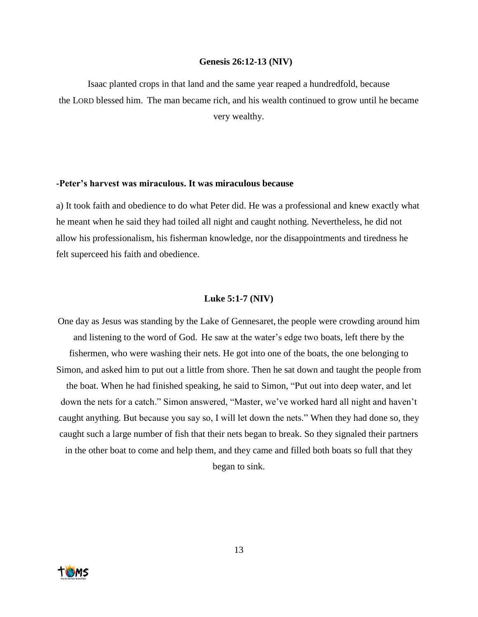#### **Genesis 26:12-13 (NIV)**

Isaac planted crops in that land and the same year reaped a hundredfold, because the LORD blessed him. The man became rich, and his wealth continued to grow until he became very wealthy.

## **-Peter's harvest was miraculous. It was miraculous because**

a) It took faith and obedience to do what Peter did. He was a professional and knew exactly what he meant when he said they had toiled all night and caught nothing. Nevertheless, he did not allow his professionalism, his fisherman knowledge, nor the disappointments and tiredness he felt superceed his faith and obedience.

#### **Luke 5:1-7 (NIV)**

One day as Jesus was standing by the Lake of Gennesaret, the people were crowding around him and listening to the word of God. He saw at the water's edge two boats, left there by the fishermen, who were washing their nets. He got into one of the boats, the one belonging to Simon, and asked him to put out a little from shore. Then he sat down and taught the people from the boat. When he had finished speaking, he said to Simon, "Put out into deep water, and let down the nets for a catch." Simon answered, "Master, we've worked hard all night and haven't caught anything. But because you say so, I will let down the nets." When they had done so, they caught such a large number of fish that their nets began to break. So they signaled their partners in the other boat to come and help them, and they came and filled both boats so full that they began to sink.

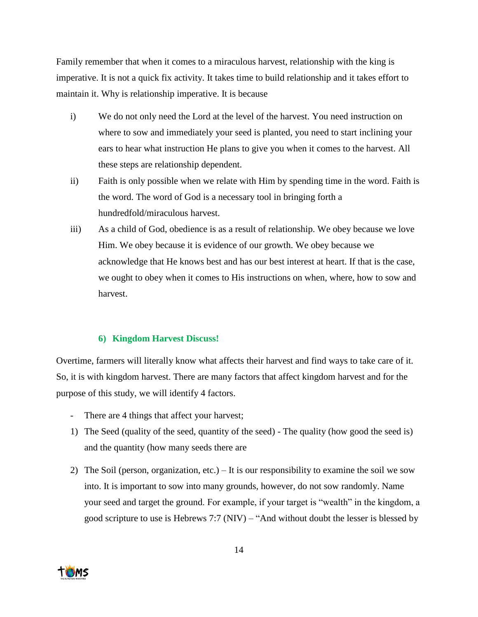Family remember that when it comes to a miraculous harvest, relationship with the king is imperative. It is not a quick fix activity. It takes time to build relationship and it takes effort to maintain it. Why is relationship imperative. It is because

- i) We do not only need the Lord at the level of the harvest. You need instruction on where to sow and immediately your seed is planted, you need to start inclining your ears to hear what instruction He plans to give you when it comes to the harvest. All these steps are relationship dependent.
- ii) Faith is only possible when we relate with Him by spending time in the word. Faith is the word. The word of God is a necessary tool in bringing forth a hundredfold/miraculous harvest.
- iii) As a child of God, obedience is as a result of relationship. We obey because we love Him. We obey because it is evidence of our growth. We obey because we acknowledge that He knows best and has our best interest at heart. If that is the case, we ought to obey when it comes to His instructions on when, where, how to sow and harvest.

# **6) Kingdom Harvest Discuss!**

Overtime, farmers will literally know what affects their harvest and find ways to take care of it. So, it is with kingdom harvest. There are many factors that affect kingdom harvest and for the purpose of this study, we will identify 4 factors.

- There are 4 things that affect your harvest;
- 1) The Seed (quality of the seed, quantity of the seed) The quality (how good the seed is) and the quantity (how many seeds there are
- 2) The Soil (person, organization, etc.) It is our responsibility to examine the soil we sow into. It is important to sow into many grounds, however, do not sow randomly. Name your seed and target the ground. For example, if your target is "wealth" in the kingdom, a good scripture to use is Hebrews 7:7 (NIV) – "And without doubt the lesser is blessed by

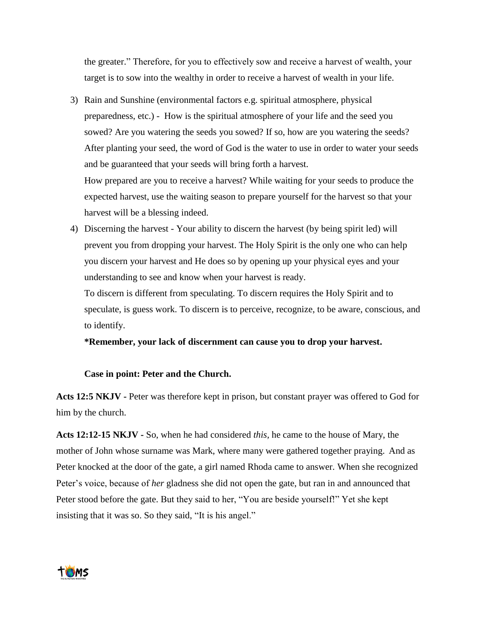the greater." Therefore, for you to effectively sow and receive a harvest of wealth, your target is to sow into the wealthy in order to receive a harvest of wealth in your life.

3) Rain and Sunshine (environmental factors e.g. spiritual atmosphere, physical preparedness, etc.) - How is the spiritual atmosphere of your life and the seed you sowed? Are you watering the seeds you sowed? If so, how are you watering the seeds? After planting your seed, the word of God is the water to use in order to water your seeds and be guaranteed that your seeds will bring forth a harvest.

How prepared are you to receive a harvest? While waiting for your seeds to produce the expected harvest, use the waiting season to prepare yourself for the harvest so that your harvest will be a blessing indeed.

4) Discerning the harvest - Your ability to discern the harvest (by being spirit led) will prevent you from dropping your harvest. The Holy Spirit is the only one who can help you discern your harvest and He does so by opening up your physical eyes and your understanding to see and know when your harvest is ready.

To discern is different from speculating. To discern requires the Holy Spirit and to speculate, is guess work. To discern is to perceive, recognize, to be aware, conscious, and to identify.

**\*Remember, your lack of discernment can cause you to drop your harvest.**

## **Case in point: Peter and the Church.**

**Acts 12:5 NKJV -** Peter was therefore kept in prison, but constant prayer was offered to God for him by the church.

**Acts 12:12-15 NKJV -** So, when he had considered *this,* he came to the house of Mary, the mother of John whose surname was Mark, where many were gathered together praying. And as Peter knocked at the door of the gate, a girl named Rhoda came to answer. When she recognized Peter's voice, because of *her* gladness she did not open the gate, but ran in and announced that Peter stood before the gate. But they said to her, "You are beside yourself!" Yet she kept insisting that it was so. So they said, "It is his angel."

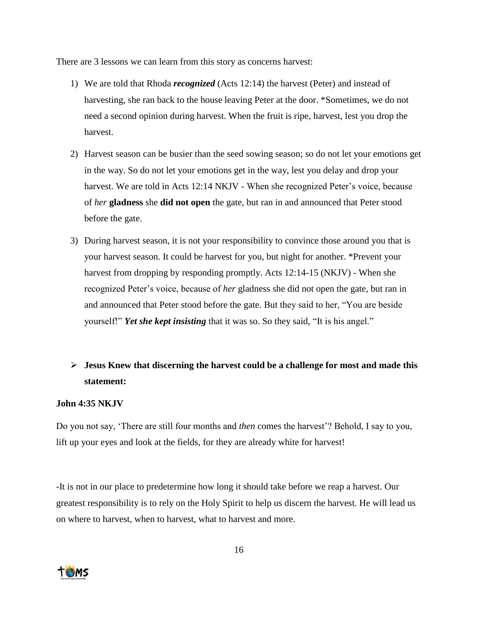There are 3 lessons we can learn from this story as concerns harvest:

- 1) We are told that Rhoda *recognized* (Acts 12:14) the harvest (Peter) and instead of harvesting, she ran back to the house leaving Peter at the door. \*Sometimes, we do not need a second opinion during harvest. When the fruit is ripe, harvest, lest you drop the harvest.
- 2) Harvest season can be busier than the seed sowing season; so do not let your emotions get in the way. So do not let your emotions get in the way, lest you delay and drop your harvest. We are told in Acts 12:14 NKJV - When she recognized Peter's voice, because of *her* **gladness** she **did not open** the gate, but ran in and announced that Peter stood before the gate.
- 3) During harvest season, it is not your responsibility to convince those around you that is your harvest season. It could be harvest for you, but night for another. \*Prevent your harvest from dropping by responding promptly. Acts 12:14-15 (NKJV) - When she recognized Peter's voice, because of *her* gladness she did not open the gate, but ran in and announced that Peter stood before the gate. But they said to her, "You are beside yourself!" *Yet she kept insisting* that it was so. So they said, "It is his angel."

# ➢ **Jesus Knew that discerning the harvest could be a challenge for most and made this statement:**

## **John 4:35 NKJV**

Do you not say, 'There are still four months and *then* comes the harvest'? Behold, I say to you, lift up your eyes and look at the fields, for they are already white for harvest!

-It is not in our place to predetermine how long it should take before we reap a harvest. Our greatest responsibility is to rely on the Holy Spirit to help us discern the harvest. He will lead us on where to harvest, when to harvest, what to harvest and more.

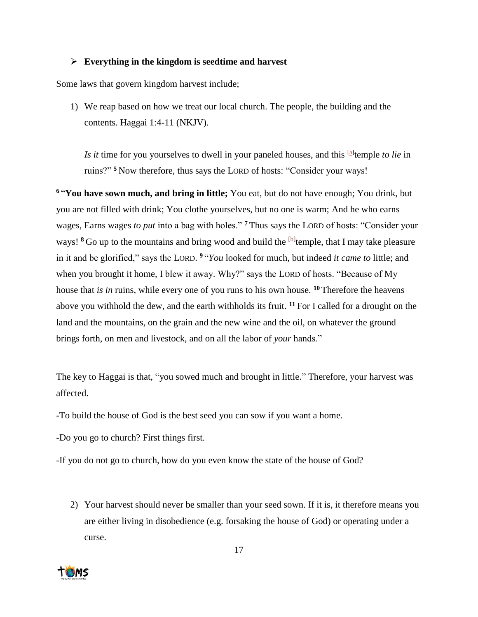## ➢ **Everything in the kingdom is seedtime and harvest**

Some laws that govern kingdom harvest include;

1) We reap based on how we treat our local church. The people, the building and the contents. Haggai 1:4-11 (NKJV).

Is *it* time for you yourselves to dwell in your paneled houses, and this <sup>[\[a\]](https://www.biblegateway.com/passage/?search=haggai+1%3A4-11&version=NKJV#fen-NKJV-22845a)</sup> temple *to lie* in ruins?" **<sup>5</sup>** Now therefore, thus says the LORD of hosts: "Consider your ways!

**<sup>6</sup>** "**You have sown much, and bring in little;** You eat, but do not have enough; You drink, but you are not filled with drink; You clothe yourselves, but no one is warm; And he who earns wages, Earns wages *to put* into a bag with holes." **<sup>7</sup>** Thus says the LORD of hosts: "Consider your ways! <sup>8</sup> Go up to the mountains and bring wood and build the <sup>[\[b\]](https://www.biblegateway.com/passage/?search=haggai+1%3A4-11&version=NKJV#fen-NKJV-22849b)</sup> temple, that I may take pleasure in it and be glorified," says the LORD. **<sup>9</sup>** "*You* looked for much, but indeed *it came to* little; and when you brought it home, I blew it away. Why?" says the LORD of hosts. "Because of My house that *is in* ruins, while every one of you runs to his own house. **<sup>10</sup>** Therefore the heavens above you withhold the dew, and the earth withholds its fruit. **<sup>11</sup>** For I called for a drought on the land and the mountains, on the grain and the new wine and the oil, on whatever the ground brings forth, on men and livestock, and on all the labor of *your* hands."

The key to Haggai is that, "you sowed much and brought in little." Therefore, your harvest was affected.

-To build the house of God is the best seed you can sow if you want a home.

-Do you go to church? First things first.

-If you do not go to church, how do you even know the state of the house of God?

2) Your harvest should never be smaller than your seed sown. If it is, it therefore means you are either living in disobedience (e.g. forsaking the house of God) or operating under a curse.

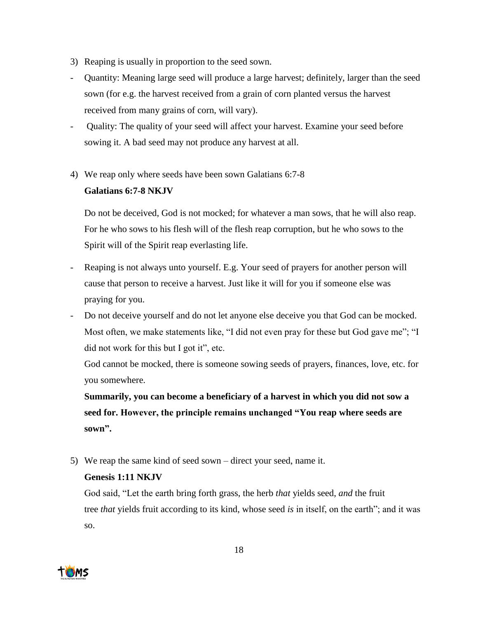- 3) Reaping is usually in proportion to the seed sown.
- Quantity: Meaning large seed will produce a large harvest; definitely, larger than the seed sown (for e.g. the harvest received from a grain of corn planted versus the harvest received from many grains of corn, will vary).
- Quality: The quality of your seed will affect your harvest. Examine your seed before sowing it. A bad seed may not produce any harvest at all.
- 4) We reap only where seeds have been sown Galatians 6:7-8

# **Galatians 6:7-8 NKJV**

Do not be deceived, God is not mocked; for whatever a man sows, that he will also reap. For he who sows to his flesh will of the flesh reap corruption, but he who sows to the Spirit will of the Spirit reap everlasting life.

- Reaping is not always unto yourself. E.g. Your seed of prayers for another person will cause that person to receive a harvest. Just like it will for you if someone else was praying for you.
- Do not deceive yourself and do not let anyone else deceive you that God can be mocked. Most often, we make statements like, "I did not even pray for these but God gave me"; "I did not work for this but I got it", etc.

God cannot be mocked, there is someone sowing seeds of prayers, finances, love, etc. for you somewhere.

**Summarily, you can become a beneficiary of a harvest in which you did not sow a seed for. However, the principle remains unchanged "You reap where seeds are sown".**

5) We reap the same kind of seed sown – direct your seed, name it.

# **Genesis 1:11 NKJV**

God said, "Let the earth bring forth grass, the herb *that* yields seed, *and* the fruit tree *that* yields fruit according to its kind, whose seed *is* in itself, on the earth"; and it was so.